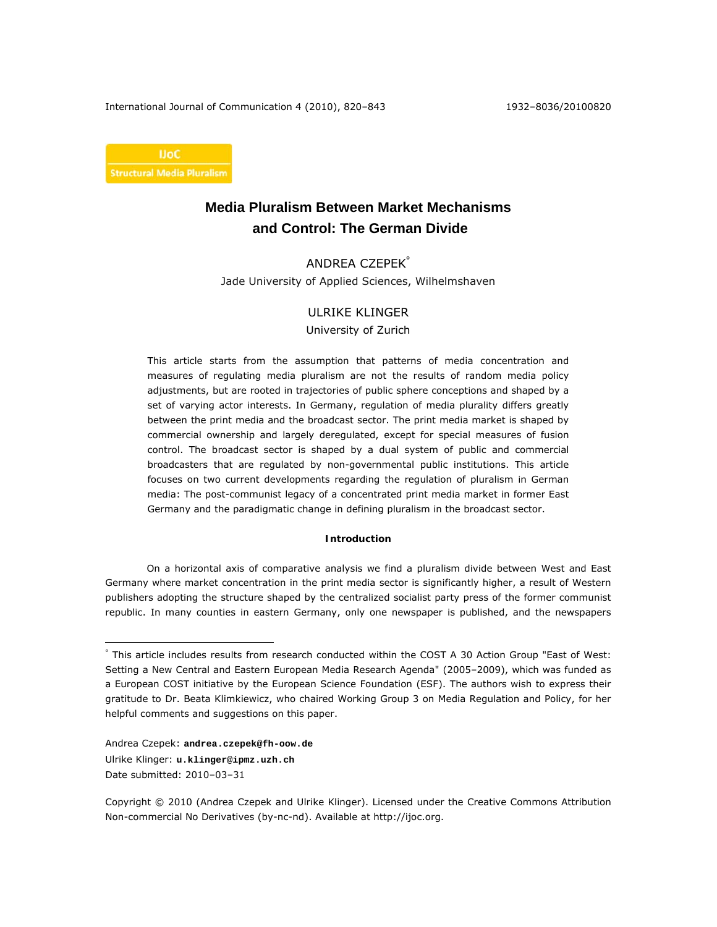International Journal of Communication 4 (2010), 820–843 1932–8036/20100820



# **Media Pluralism Between Market Mechanisms and Control: The German Divide**

# ANDREA CZEPEK°

Jade University of Applied Sciences, Wilhelmshaven

# ULRIKE KLINGER

University of Zurich

This article starts from the assumption that patterns of media concentration and measures of regulating media pluralism are not the results of random media policy adjustments, but are rooted in trajectories of public sphere conceptions and shaped by a set of varying actor interests. In Germany, regulation of media plurality differs greatly between the print media and the broadcast sector. The print media market is shaped by commercial ownership and largely deregulated, except for special measures of fusion control. The broadcast sector is shaped by a dual system of public and commercial broadcasters that are regulated by non-governmental public institutions. This article focuses on two current developments regarding the regulation of pluralism in German media: The post-communist legacy of a concentrated print media market in former East Germany and the paradigmatic change in defining pluralism in the broadcast sector.

#### **Introduction**

On a horizontal axis of comparative analysis we find a pluralism divide between West and East Germany where market concentration in the print media sector is significantly higher, a result of Western publishers adopting the structure shaped by the centralized socialist party press of the former communist republic. In many counties in eastern Germany, only one newspaper is published, and the newspapers

Andrea Czepek: **andrea.czepek@fh-oow.de** Ulrike Klinger: **u.klinger@ipmz.uzh.ch** Date submitted: 2010–03–31

<sup>°</sup> This article includes results from research conducted within the COST A 30 Action Group "East of West: Setting a New Central and Eastern European Media Research Agenda" (2005–2009), which was funded as a European COST initiative by the European Science Foundation (ESF). The authors wish to express their gratitude to Dr. Beata Klimkiewicz, who chaired Working Group 3 on Media Regulation and Policy, for her helpful comments and suggestions on this paper.

Copyright © 2010 (Andrea Czepek and Ulrike Klinger). Licensed under the Creative Commons Attribution Non-commercial No Derivatives (by-nc-nd). Available at http://ijoc.org.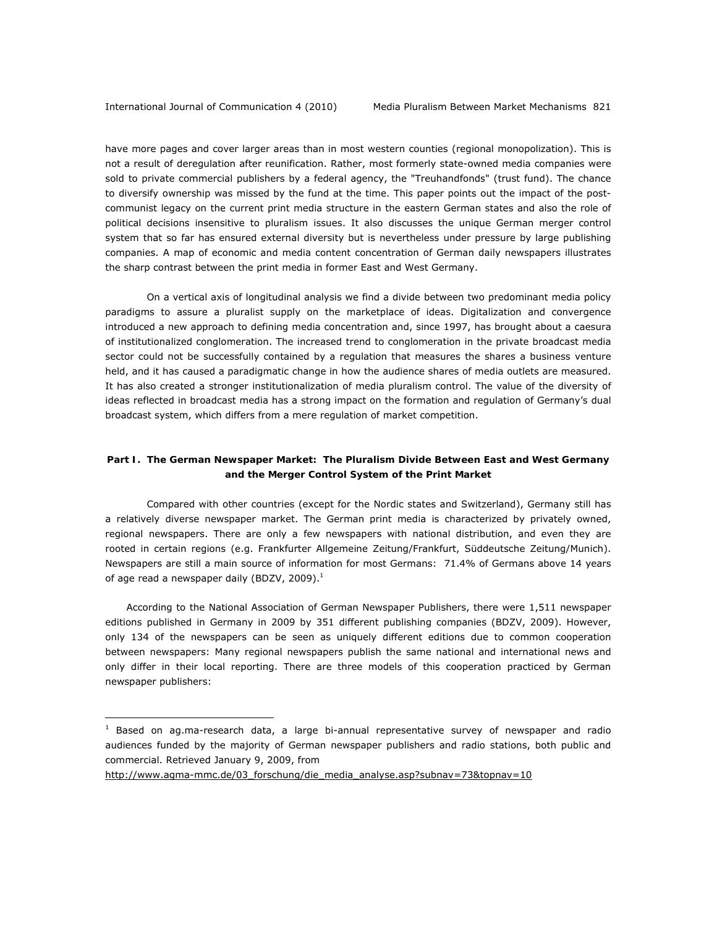have more pages and cover larger areas than in most western counties (regional monopolization). This is not a result of deregulation after reunification. Rather, most formerly state-owned media companies were sold to private commercial publishers by a federal agency, the "Treuhandfonds" (trust fund). The chance to diversify ownership was missed by the fund at the time. This paper points out the impact of the postcommunist legacy on the current print media structure in the eastern German states and also the role of political decisions insensitive to pluralism issues. It also discusses the unique German merger control system that so far has ensured external diversity but is nevertheless under pressure by large publishing companies. A map of economic and media content concentration of German daily newspapers illustrates the sharp contrast between the print media in former East and West Germany.

On a vertical axis of longitudinal analysis we find a divide between two predominant media policy paradigms to assure a pluralist supply on the marketplace of ideas. Digitalization and convergence introduced a new approach to defining media concentration and, since 1997, has brought about a caesura of institutionalized conglomeration. The increased trend to conglomeration in the private broadcast media sector could not be successfully contained by a regulation that measures the shares a business venture held, and it has caused a paradigmatic change in how the audience shares of media outlets are measured. It has also created a stronger institutionalization of media pluralism control. The value of the diversity of ideas reflected in broadcast media has a strong impact on the formation and regulation of Germany's dual broadcast system, which differs from a mere regulation of market competition.

# **Part I. The German Newspaper Market: The Pluralism Divide Between East and West Germany and the Merger Control System of the Print Market**

Compared with other countries (except for the Nordic states and Switzerland), Germany still has a relatively diverse newspaper market. The German print media is characterized by privately owned, regional newspapers. There are only a few newspapers with national distribution, and even they are rooted in certain regions (e.g. Frankfurter Allgemeine Zeitung/Frankfurt, Süddeutsche Zeitung/Munich). Newspapers are still a main source of information for most Germans: 71.4% of Germans above 14 years of age read a newspaper daily (BDZV, 2009). $^1$ 

According to the National Association of German Newspaper Publishers, there were 1,511 newspaper editions published in Germany in 2009 by 351 different publishing companies (BDZV, 2009). However, only 134 of the newspapers can be seen as uniquely different editions due to common cooperation between newspapers: Many regional newspapers publish the same national and international news and only differ in their local reporting. There are three models of this cooperation practiced by German newspaper publishers:

http://www.agma-mmc.de/03\_forschung/die\_media\_analyse.asp?subnav=73&topnav=10

 $<sup>1</sup>$  Based on ag.ma-research data, a large bi-annual representative survey of newspaper and radio</sup> audiences funded by the majority of German newspaper publishers and radio stations, both public and commercial. Retrieved January 9, 2009, from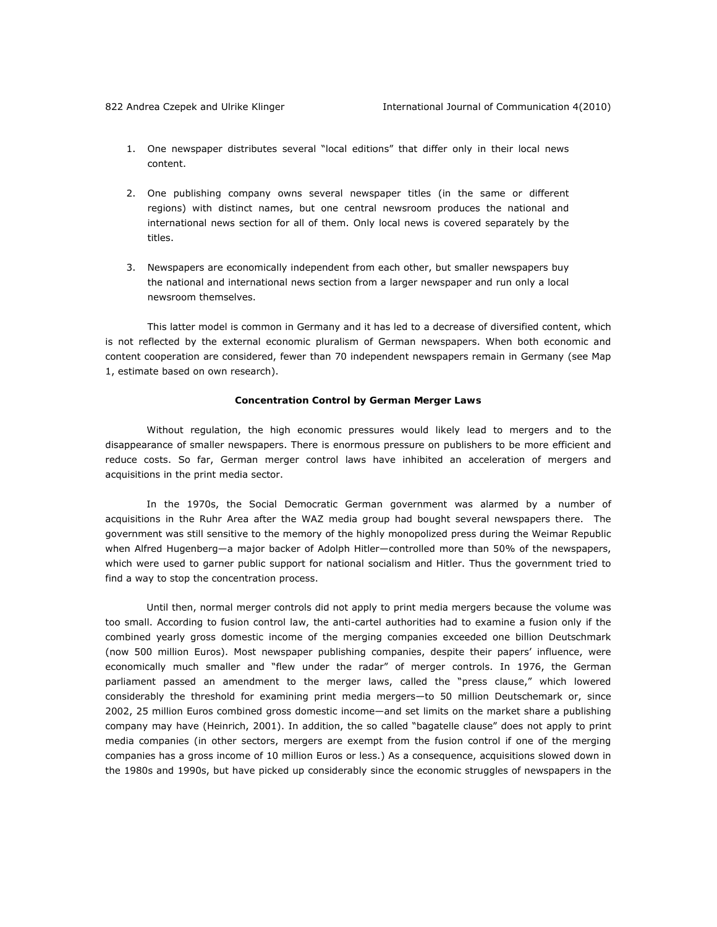- 1. One newspaper distributes several "local editions" that differ only in their local news content.
- 2. One publishing company owns several newspaper titles (in the same or different regions) with distinct names, but one central newsroom produces the national and international news section for all of them. Only local news is covered separately by the titles.
- 3. Newspapers are economically independent from each other, but smaller newspapers buy the national and international news section from a larger newspaper and run only a local newsroom themselves.

This latter model is common in Germany and it has led to a decrease of diversified content, which is not reflected by the external economic pluralism of German newspapers. When both economic and content cooperation are considered, fewer than 70 independent newspapers remain in Germany (see Map 1, estimate based on own research).

#### **Concentration Control by German Merger Laws**

Without regulation, the high economic pressures would likely lead to mergers and to the disappearance of smaller newspapers. There is enormous pressure on publishers to be more efficient and reduce costs. So far, German merger control laws have inhibited an acceleration of mergers and acquisitions in the print media sector.

In the 1970s, the Social Democratic German government was alarmed by a number of acquisitions in the Ruhr Area after the WAZ media group had bought several newspapers there. The government was still sensitive to the memory of the highly monopolized press during the Weimar Republic when Alfred Hugenberg—a major backer of Adolph Hitler—controlled more than 50% of the newspapers, which were used to garner public support for national socialism and Hitler. Thus the government tried to find a way to stop the concentration process.

Until then, normal merger controls did not apply to print media mergers because the volume was too small. According to fusion control law, the anti-cartel authorities had to examine a fusion only if the combined yearly gross domestic income of the merging companies exceeded one billion Deutschmark (now 500 million Euros). Most newspaper publishing companies, despite their papers' influence, were economically much smaller and "flew under the radar" of merger controls. In 1976, the German parliament passed an amendment to the merger laws, called the "press clause," which lowered considerably the threshold for examining print media mergers—to 50 million Deutschemark or, since 2002, 25 million Euros combined gross domestic income—and set limits on the market share a publishing company may have (Heinrich, 2001). In addition, the so called "bagatelle clause" does not apply to print media companies (in other sectors, mergers are exempt from the fusion control if one of the merging companies has a gross income of 10 million Euros or less.) As a consequence, acquisitions slowed down in the 1980s and 1990s, but have picked up considerably since the economic struggles of newspapers in the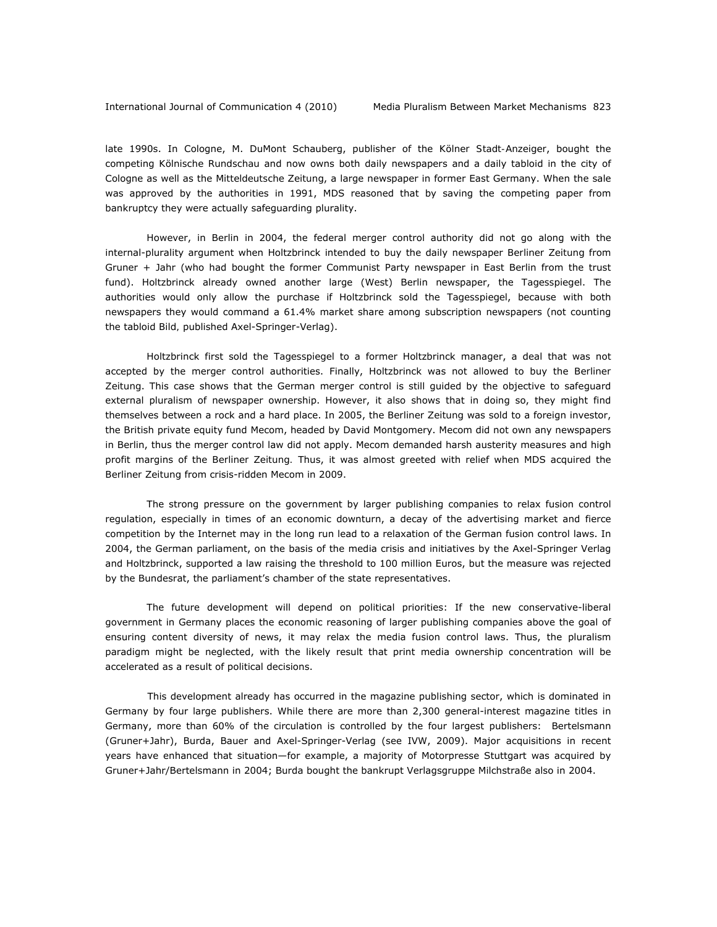late 1990s. In Cologne, M. DuMont Schauberg, publisher of the *Kölner Stadt-Anzeiger*, bought the competing *Kölnische Rundschau* and now owns both daily newspapers and a daily tabloid in the city of Cologne as well as the *Mitteldeutsche Zeitung*, a large newspaper in former East Germany. When the sale was approved by the authorities in 1991, MDS reasoned that by saving the competing paper from bankruptcy they were actually safeguarding plurality.

However, in Berlin in 2004, the federal merger control authority did not go along with the internal-plurality argument when Holtzbrinck intended to buy the daily newspaper *Berliner Zeitung* from Gruner + Jahr (who had bought the former Communist Party newspaper in East Berlin from the trust fund). Holtzbrinck already owned another large (West) Berlin newspaper, the *Tagesspiegel*. The authorities would only allow the purchase if Holtzbrinck sold the *Tagesspiegel*, because with both newspapers they would command a 61.4% market share among subscription newspapers (not counting the tabloid *Bild,* published Axel-Springer-Verlag).

Holtzbrinck first sold the *Tagesspiegel* to a former Holtzbrinck manager, a deal that was not accepted by the merger control authorities. Finally, Holtzbrinck was not allowed to buy the *Berliner* Z*eitung*. This case shows that the German merger control is still guided by the objective to safeguard external pluralism of newspaper ownership. However, it also shows that in doing so, they might find themselves between a rock and a hard place. In 2005, the *Berliner Zeitung* was sold to a foreign investor, the British private equity fund Mecom, headed by David Montgomery. Mecom did not own any newspapers in Berlin, thus the merger control law did not apply. Mecom demanded harsh austerity measures and high profit margins of the *Berliner Zeitung.* Thus, it was almost greeted with relief when MDS acquired the *Berliner Zeitung* from crisis-ridden Mecom in 2009.

The strong pressure on the government by larger publishing companies to relax fusion control regulation, especially in times of an economic downturn, a decay of the advertising market and fierce competition by the Internet may in the long run lead to a relaxation of the German fusion control laws. In 2004, the German parliament, on the basis of the media crisis and initiatives by the Axel-Springer Verlag and Holtzbrinck, supported a law raising the threshold to 100 million Euros, but the measure was rejected by the Bundesrat, the parliament's chamber of the state representatives.

The future development will depend on political priorities: If the new conservative-liberal government in Germany places the economic reasoning of larger publishing companies above the goal of ensuring content diversity of news, it may relax the media fusion control laws. Thus, the pluralism paradigm might be neglected, with the likely result that print media ownership concentration will be accelerated as a result of political decisions.

This development already has occurred in the magazine publishing sector, which is dominated in Germany by four large publishers. While there are more than 2,300 general-interest magazine titles in Germany, more than 60% of the circulation is controlled by the four largest publishers: Bertelsmann (Gruner+Jahr), Burda, Bauer and Axel-Springer-Verlag (see IVW, 2009). Major acquisitions in recent years have enhanced that situation—for example, a majority of Motorpresse Stuttgart was acquired by Gruner+Jahr/Bertelsmann in 2004; Burda bought the bankrupt Verlagsgruppe Milchstraße also in 2004.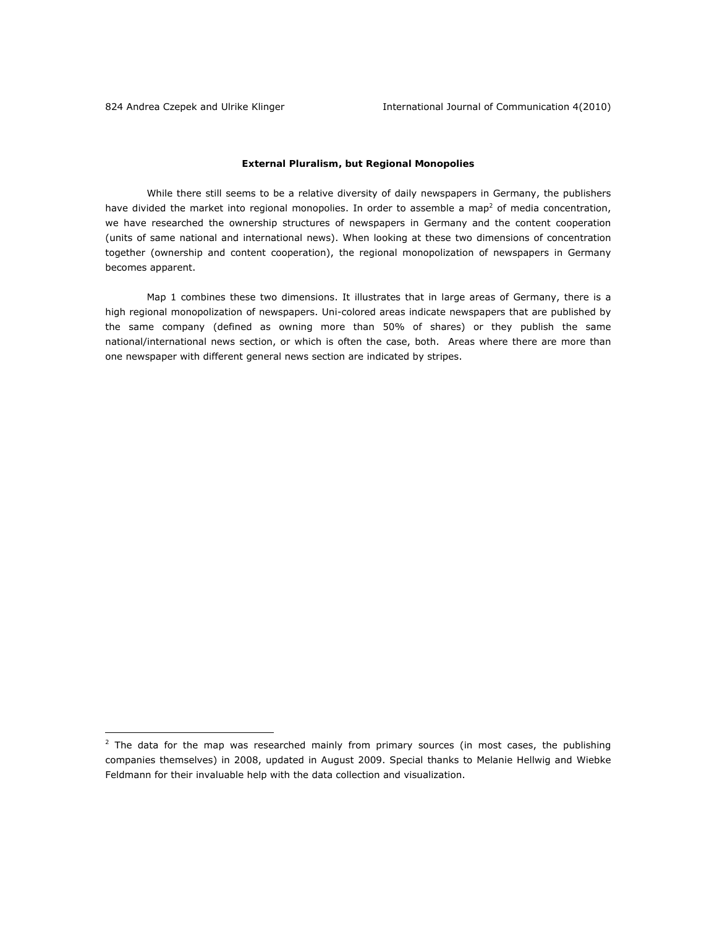# **External Pluralism, but Regional Monopolies**

While there still seems to be a relative diversity of daily newspapers in Germany, the publishers have divided the market into regional monopolies. In order to assemble a map<sup>2</sup> of media concentration, we have researched the ownership structures of newspapers in Germany and the content cooperation (units of same national and international news). When looking at these two dimensions of concentration together (ownership and content cooperation), the regional monopolization of newspapers in Germany becomes apparent.

Map 1 combines these two dimensions. It illustrates that in large areas of Germany, there is a high regional monopolization of newspapers. Uni-colored areas indicate newspapers that are published by the same company (defined as owning more than 50% of shares) or they publish the same national/international news section, or which is often the case, both. Areas where there are more than one newspaper with different general news section are indicated by stripes.

 $2$  The data for the map was researched mainly from primary sources (in most cases, the publishing companies themselves) in 2008, updated in August 2009. Special thanks to Melanie Hellwig and Wiebke Feldmann for their invaluable help with the data collection and visualization.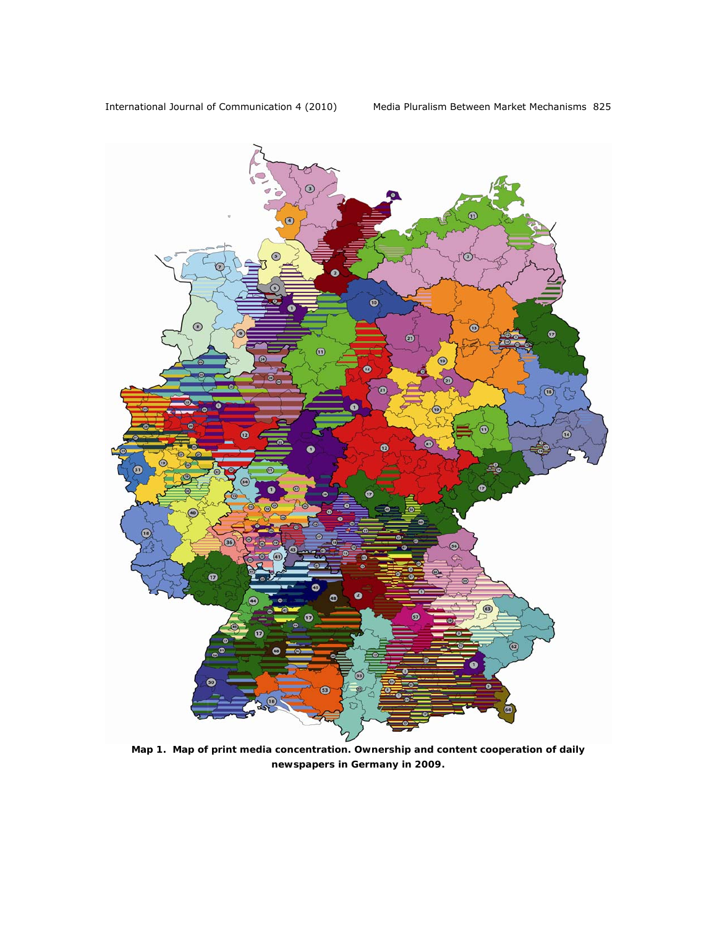

*Map 1. Map of print media concentration. Ownership and content cooperation of daily newspapers in Germany in 2009.*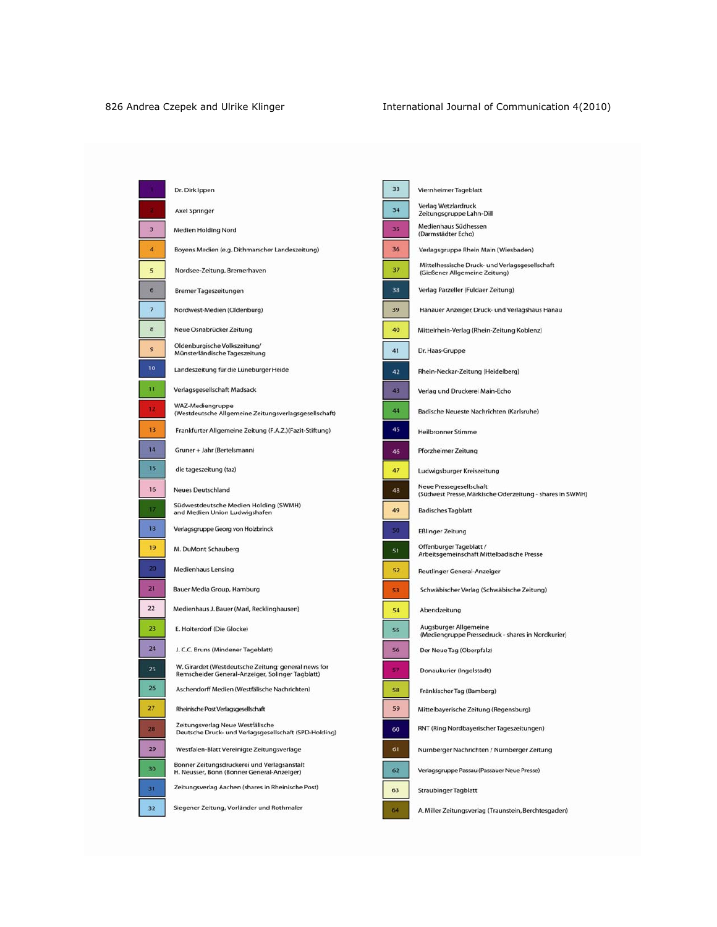Ē

[

|    | Dr. Dirk Ippen                                                                                          |
|----|---------------------------------------------------------------------------------------------------------|
| ×  | <b>Axel Springer</b>                                                                                    |
| 3  | Medien Holding Nord                                                                                     |
| 4  | Boyens Medien (e.g. Dithmarscher Landeszeitung)                                                         |
| 5  | Nordsee-Zeitung, Bremerhaven                                                                            |
| б  | Bremer Tageszeitungen                                                                                   |
| 7  | Nordwest-Medien (Oldenburg)                                                                             |
| 8  | Neue Osnabrücker Zeitung                                                                                |
| 9  | Oldenburgische Volkszeitung/<br>Münsterländische Tageszeitung                                           |
| 10 | Landeszeitung für die Lüneburger Heide                                                                  |
| 11 | Verlagsgesellschaft Madsack                                                                             |
| 12 | WAZ-Mediengruppe<br>(Westdeutsche Allgemeine Zeitungsverlagsgesellschaft)                               |
| 13 | Frankfurter Allgemeine Zeitung (F.A.Z.)(Fazit-Stiftung)                                                 |
| 14 | Gruner + Jahr (Bertelsmann)                                                                             |
| 15 | die tageszeitung (taz)                                                                                  |
| 16 | <b>Neues Deutschland</b>                                                                                |
| 17 | Südwestdeutsche Medien Holding (SWMH)<br>and Medien Union Ludwigshafen                                  |
| 18 | Verlagsgruppe Georg von Holzbrinck                                                                      |
| 19 | M. DuMont Schauberg                                                                                     |
| 20 | Medienhaus Lensing                                                                                      |
| 21 | Bauer Media Group, Hamburg                                                                              |
| 22 | Medienhaus J. Bauer (Marl, Recklinghausen)                                                              |
| 23 | E. Holterdorf (Die Glocke)                                                                              |
| 24 | J. C.C. Bruns (Mindener Tageblatt)                                                                      |
| 25 | W. Girardet (Westdeutsche Zeitung; general news for<br>Remscheider General-Anzeiger, Solinger Tagblatt) |
| 26 | Aschendorff Medien (Westfälische Nachrichten)                                                           |
| 27 | Rheinische Post Verlagsgesellschaft                                                                     |
| 28 | Zeitungsverlag Neue Westfälische<br>Deutsche Druck- und Verlagsgesellschaft (SPD-Holding)               |
| 29 | Westfalen-Blatt Vereinigte Zeitungsverlage                                                              |
| 30 | Bonner Zeitungsdruckerei und Verlagsanstalt<br>H. Neusser, Bonn (Bonner General-Anzeiger)               |
| 31 | Zeitungsverlag Aachen (shares in Rheinische Post)                                                       |
| 32 | Siegener Zeitung, Vorländer und Rothmaler                                                               |

| 33 | Viernheimer Tageblatt                                                               |
|----|-------------------------------------------------------------------------------------|
| 34 | Verlag Wetzlardruck<br>Zeitungsgruppe Lahn-Dill                                     |
| 35 | Medienhaus Südhessen<br>(Darmstädter Echo)                                          |
| 36 | Verlagsgruppe Rhein Main (Wiesbaden)                                                |
| 37 | Mittelhessische Druck- und Verlagsgesellschaft<br>(Gießener Allgemeine Zeitung)     |
| 38 | Verlag Parzeller (Fuldaer Zeitung)                                                  |
| 39 | Hanauer Anzeiger, Druck- und Verlagshaus Hanau                                      |
| 40 | Mittelrhein-Verlag (Rhein-Zeitung Koblenz)                                          |
| 41 | Dr. Haas-Gruppe                                                                     |
| 42 | Rhein-Neckar-Zeitung (Heidelberg)                                                   |
| 43 | Verlag und Druckerei Main-Echo                                                      |
| 44 | Badische Neueste Nachrichten (Karlsruhe)                                            |
| 45 | <b>Heilbronner Stimme</b>                                                           |
| 46 | Pforzheimer Zeitung                                                                 |
| 47 | Ludwigsburger Kreiszeitung                                                          |
| 48 | Neue Pressegesellschaft<br>(Südwest Presse, Märkische Oderzeitung - shares in SWMH) |
| 49 | <b>Badisches Tagblatt</b>                                                           |
| 50 | <b>Eßlinger Zeitung</b>                                                             |
| 51 | Offenburger Tageblatt /<br>Arbeitsgemeinschaft Mittelbadische Presse                |
| 52 | Reutlinger General-Anzeiger                                                         |
| 53 | Schwäbischer Verlag (Schwäbische Zeitung)                                           |
| 54 | Abendzeitung                                                                        |
| 55 | Augsburger Allgemeine<br>(Mediengruppe Pressedruck - shares in Nordkurier)          |
| 56 | Der Neue Tag (Oberpfalz)                                                            |
| 57 | Donaukurier (Ingolstadt)                                                            |
| 58 | Fränkischer Tag (Bamberg)                                                           |
| 59 | Mittelbayerische Zeitung (Regensburg)                                               |
| 60 | RNT (Ring Nordbayerischer Tageszeitungen)                                           |
| 61 | Nürnberger Nachrichten / Nürnberger Zeitung                                         |
| 62 | Verlagsgruppe Passau (Passauer Neue Presse)                                         |
| 63 | <b>Straubinger Tagblatt</b>                                                         |
| 64 | A Miller Zeitungewerlag (Traunstein Berchtesgade                                    |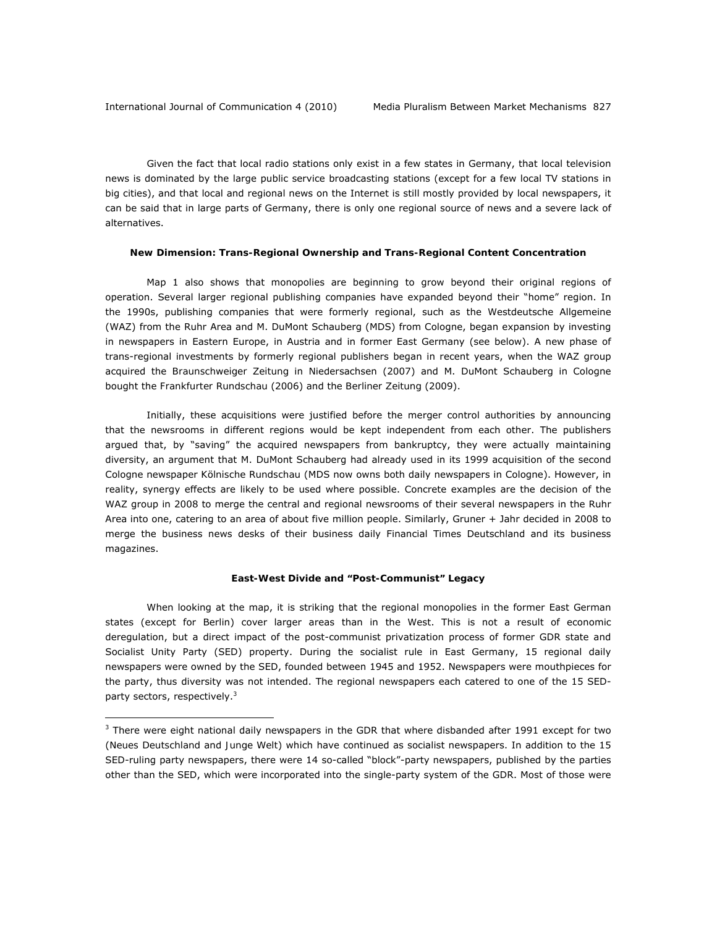Given the fact that local radio stations only exist in a few states in Germany, that local television news is dominated by the large public service broadcasting stations (except for a few local TV stations in big cities), and that local and regional news on the Internet is still mostly provided by local newspapers, it can be said that in large parts of Germany, there is only one regional source of news and a severe lack of alternatives.

#### **New Dimension: Trans-Regional Ownership and Trans-Regional Content Concentration**

Map 1 also shows that monopolies are beginning to grow beyond their original regions of operation. Several larger regional publishing companies have expanded beyond their "home" region. In the 1990s, publishing companies that were formerly regional, such as the Westdeutsche Allgemeine (WAZ) from the Ruhr Area and M. DuMont Schauberg (MDS) from Cologne, began expansion by investing in newspapers in Eastern Europe, in Austria and in former East Germany (see below). A new phase of trans-regional investments by formerly regional publishers began in recent years, when the WAZ group acquired the *Braunschweiger Zeitung* in Niedersachsen (2007) and M. DuMont Schauberg in Cologne bought the *Frankfurter Rundschau* (2006) and the *Berliner Zeitung* (2009).

Initially, these acquisitions were justified before the merger control authorities by announcing that the newsrooms in different regions would be kept independent from each other. The publishers argued that, by "saving" the acquired newspapers from bankruptcy, they were actually maintaining diversity, an argument that M. DuMont Schauberg had already used in its 1999 acquisition of the second Cologne newspaper *Kölnische Rundschau* (MDS now owns both daily newspapers in Cologne). However, in reality, synergy effects are likely to be used where possible. Concrete examples are the decision of the WAZ group in 2008 to merge the central and regional newsrooms of their several newspapers in the Ruhr Area into one, catering to an area of about five million people. Similarly, Gruner + Jahr decided in 2008 to merge the business news desks of their business daily Financial Times Deutschland and its business magazines.

# **East-West Divide and "Post-Communist" Legacy**

When looking at the map, it is striking that the regional monopolies in the former East German states (except for Berlin) cover larger areas than in the West. This is not a result of economic deregulation, but a direct impact of the post-communist privatization process of former GDR state and Socialist Unity Party (SED) property. During the socialist rule in East Germany, 15 regional daily newspapers were owned by the SED, founded between 1945 and 1952. Newspapers were mouthpieces for the party, thus diversity was not intended. The regional newspapers each catered to one of the 15 SEDparty sectors, respectively.<sup>3</sup>

 $3$  There were eight national daily newspapers in the GDR that where disbanded after 1991 except for two (*Neues Deutschland* and *Junge Welt*) which have continued as socialist newspapers. In addition to the 15 SED-ruling party newspapers, there were 14 so-called "block"-party newspapers, published by the parties other than the SED, which were incorporated into the single-party system of the GDR. Most of those were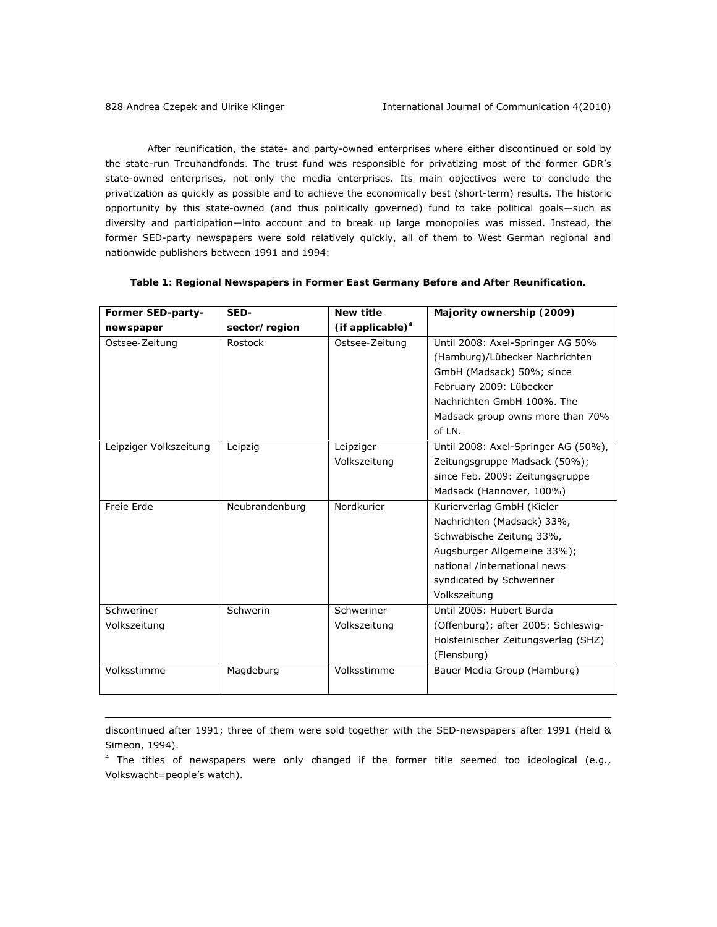After reunification, the state- and party-owned enterprises where either discontinued or sold by the state-run Treuhandfonds. The trust fund was responsible for privatizing most of the former GDR's state-owned enterprises, not only the media enterprises. Its main objectives were to conclude the privatization as quickly as possible and to achieve the economically best (short-term) results. The historic opportunity by this state-owned (and thus politically governed) fund to take political goals―such as diversity and participation―into account and to break up large monopolies was missed. Instead, the former SED-party newspapers were sold relatively quickly, all of them to West German regional and nationwide publishers between 1991 and 1994:

| Former SED-party-      | SED-           | <b>New title</b>    | Majority ownership (2009)           |
|------------------------|----------------|---------------------|-------------------------------------|
| newspaper              | sector/region  | (if applicable) $4$ |                                     |
| Ostsee-Zeitung         | Rostock        | Ostsee-Zeitung      | Until 2008: Axel-Springer AG 50%    |
|                        |                |                     | (Hamburg)/Lübecker Nachrichten      |
|                        |                |                     | GmbH (Madsack) 50%; since           |
|                        |                |                     | February 2009: Lübecker             |
|                        |                |                     | Nachrichten GmbH 100%. The          |
|                        |                |                     | Madsack group owns more than 70%    |
|                        |                |                     | of LN.                              |
| Leipziger Volkszeitung | Leipzig        | Leipziger           | Until 2008: Axel-Springer AG (50%), |
|                        |                | Volkszeitung        | Zeitungsgruppe Madsack (50%);       |
|                        |                |                     | since Feb. 2009: Zeitungsgruppe     |
|                        |                |                     | Madsack (Hannover, 100%)            |
| Freie Erde             | Neubrandenburg | Nordkurier          | Kurierverlag GmbH (Kieler           |
|                        |                |                     | Nachrichten (Madsack) 33%,          |
|                        |                |                     | Schwäbische Zeitung 33%,            |
|                        |                |                     | Augsburger Allgemeine 33%);         |
|                        |                |                     | national /international news        |
|                        |                |                     | syndicated by Schweriner            |
|                        |                |                     | Volkszeitung                        |
| Schweriner             | Schwerin       | Schweriner          | Until 2005: Hubert Burda            |
| Volkszeitung           |                | Volkszeitung        | (Offenburg); after 2005: Schleswig- |
|                        |                |                     | Holsteinischer Zeitungsverlag (SHZ) |
|                        |                |                     | (Flensburg)                         |
| Volksstimme            | Magdeburg      | Volksstimme         | Bauer Media Group (Hamburg)         |
|                        |                |                     |                                     |

# *Table 1: Regional Newspapers in Former East Germany Before and After Reunification.*

discontinued after 1991; three of them were sold together with the SED-newspapers after 1991 (Held & Simeon, 1994).

 $4$  The titles of newspapers were only changed if the former title seemed too ideological (e.g., *Volkswacht*=people's watch).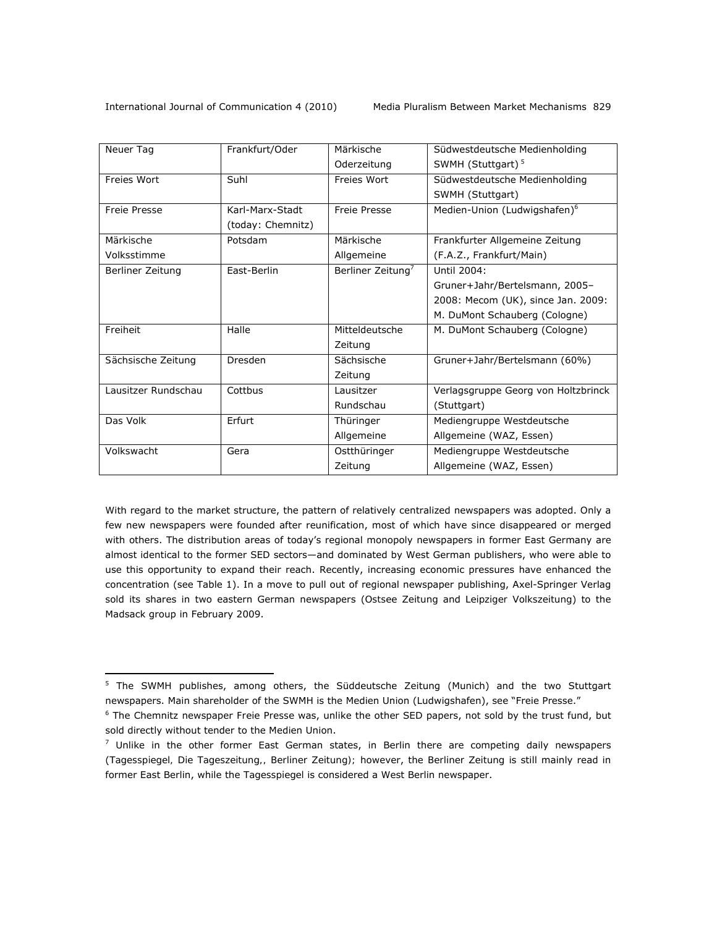| Neuer Tag               | Frankfurt/Oder    | Märkische                     | Südwestdeutsche Medienholding            |
|-------------------------|-------------------|-------------------------------|------------------------------------------|
|                         |                   | Oderzeitung                   | SWMH (Stuttgart) <sup>5</sup>            |
| Freies Wort             | Suhl              | Freies Wort                   | Südwestdeutsche Medienholding            |
|                         |                   |                               | SWMH (Stuttgart)                         |
| Freie Presse            | Karl-Marx-Stadt   | Freie Presse                  | Medien-Union (Ludwigshafen) <sup>6</sup> |
|                         | (today: Chemnitz) |                               |                                          |
| Märkische               | Potsdam           | Märkische                     | Frankfurter Allgemeine Zeitung           |
| Volksstimme             |                   | Allgemeine                    | (F.A.Z., Frankfurt/Main)                 |
| <b>Berliner Zeitung</b> | East-Berlin       | Berliner Zeitung <sup>7</sup> | Until 2004:                              |
|                         |                   |                               | Gruner+Jahr/Bertelsmann, 2005-           |
|                         |                   |                               | 2008: Mecom (UK), since Jan. 2009:       |
|                         |                   |                               | M. DuMont Schauberg (Cologne)            |
| Freiheit                | Halle             | Mitteldeutsche                | M. DuMont Schauberg (Cologne)            |
|                         |                   | Zeitung                       |                                          |
| Sächsische Zeitung      | Dresden           | Sächsische                    | Gruner+Jahr/Bertelsmann (60%)            |
|                         |                   | Zeitung                       |                                          |
| Lausitzer Rundschau     | Cottbus           | Lausitzer                     | Verlagsgruppe Georg von Holtzbrinck      |
|                         |                   | Rundschau                     | (Stuttgart)                              |
| Das Volk                | Erfurt            | Thüringer                     | Mediengruppe Westdeutsche                |
|                         |                   | Allgemeine                    | Allgemeine (WAZ, Essen)                  |
| Volkswacht              | Gera              | Ostthüringer                  | Mediengruppe Westdeutsche                |
|                         |                   | Zeitung                       | Allgemeine (WAZ, Essen)                  |

With regard to the market structure, the pattern of relatively centralized newspapers was adopted. Only a few new newspapers were founded after reunification, most of which have since disappeared or merged with others. The distribution areas of today's regional monopoly newspapers in former East Germany are almost identical to the former SED sectors—and dominated by West German publishers, who were able to use this opportunity to expand their reach. Recently, increasing economic pressures have enhanced the concentration (see Table 1). In a move to pull out of regional newspaper publishing, Axel-Springer Verlag sold its shares in two eastern German newspapers (*Ostsee Zeitung* and *Leipziger Volkszeitung*) to the Madsack group in February 2009.

<sup>&</sup>lt;sup>5</sup> The SWMH publishes, among others, the Süddeutsche Zeitung (Munich) and the two Stuttgart newspapers. Main shareholder of the SWMH is the Medien Union (Ludwigshafen), see "Freie Presse."

<sup>6</sup> The Chemnitz newspaper *Freie Presse* was, unlike the other SED papers, not sold by the trust fund, but sold directly without tender to the Medien Union.

 $^7$  Unlike in the other former East German states, in Berlin there are competing daily newspapers (*Tagesspiegel, Die Tageszeitung,, Berliner Zeitung);* however, the *Berliner Zeitung* is still mainly read in former East Berlin, while the *Tagesspiegel* is considered a West Berlin newspaper.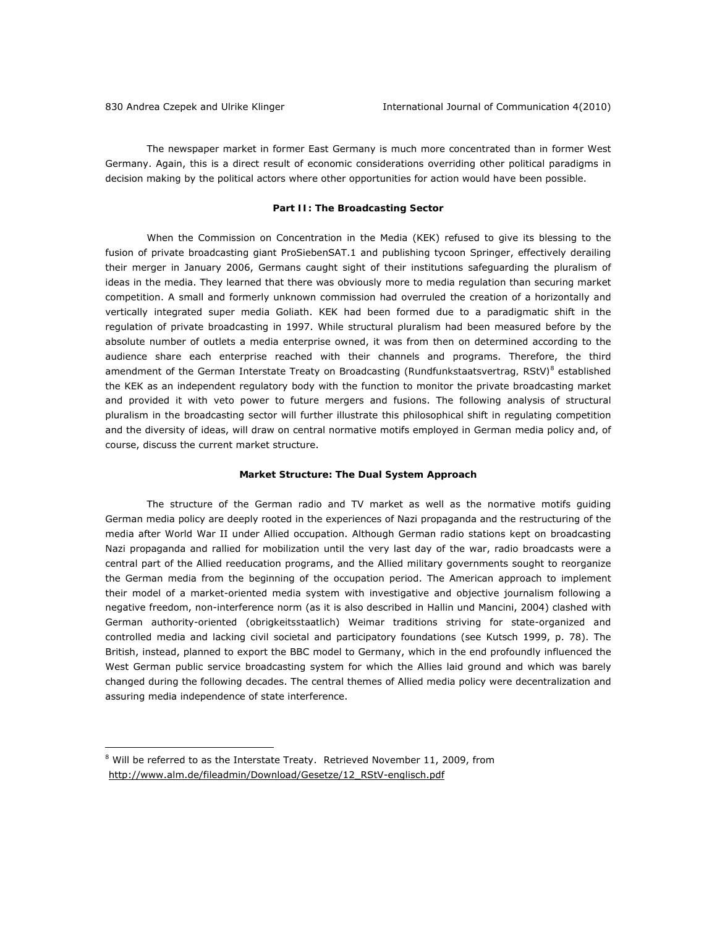The newspaper market in former East Germany is much more concentrated than in former West Germany. Again, this is a direct result of economic considerations overriding other political paradigms in decision making by the political actors where other opportunities for action would have been possible.

#### **Part II: The Broadcasting Sector**

When the Commission on Concentration in the Media (KEK) refused to give its blessing to the fusion of private broadcasting giant ProSiebenSAT.1 and publishing tycoon Springer, effectively derailing their merger in January 2006, Germans caught sight of their institutions safeguarding the pluralism of ideas in the media. They learned that there was obviously more to media regulation than securing market competition. A small and formerly unknown commission had overruled the creation of a horizontally and vertically integrated super media Goliath. KEK had been formed due to a paradigmatic shift in the regulation of private broadcasting in 1997. While structural pluralism had been measured before by the absolute number of outlets a media enterprise owned, it was from then on determined according to the audience share each enterprise reached with their channels and programs. Therefore, the third amendment of the German Interstate Treaty on Broadcasting (*Rundfunkstaatsvertrag,* RStV*)*<sup>8</sup> established the KEK as an independent regulatory body with the function to monitor the private broadcasting market and provided it with veto power to future mergers and fusions. The following analysis of structural pluralism in the broadcasting sector will further illustrate this philosophical shift in regulating competition and the diversity of ideas, will draw on central normative motifs employed in German media policy and, of course, discuss the current market structure.

#### **Market Structure: The Dual System Approach**

The structure of the German radio and TV market as well as the normative motifs guiding German media policy are deeply rooted in the experiences of Nazi propaganda and the restructuring of the media after World War II under Allied occupation. Although German radio stations kept on broadcasting Nazi propaganda and rallied for mobilization until the very last day of the war, radio broadcasts were a central part of the Allied reeducation programs, and the Allied military governments sought to reorganize the German media from the beginning of the occupation period. The American approach to implement their model of a market-oriented media system with investigative and objective journalism following a negative freedom, non-interference norm (as it is also described in Hallin und Mancini, 2004) clashed with German authority-oriented (*obrigkeitsstaatlich*) Weimar traditions striving for state-organized and controlled media and lacking civil societal and participatory foundations (see Kutsch 1999, p. 78). The British, instead, planned to export the BBC model to Germany, which in the end profoundly influenced the West German public service broadcasting system for which the Allies laid ground and which was barely changed during the following decades. The central themes of Allied media policy were decentralization and assuring media independence of state interference.

 $^8$  Will be referred to as the Interstate Treaty. Retrieved November 11, 2009, from http://www.alm.de/fileadmin/Download/Gesetze/12\_RStV-englisch.pdf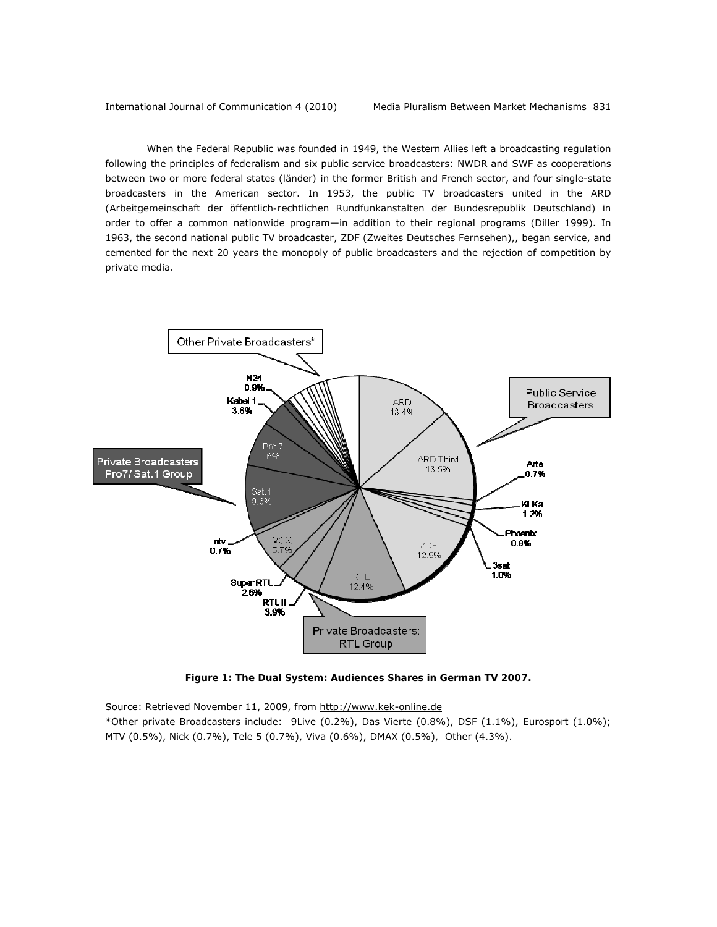#### International Journal of Communication 4 (2010) Media Pluralism Between Market Mechanisms 831

When the Federal Republic was founded in 1949, the Western Allies left a broadcasting regulation following the principles of federalism and six public service broadcasters: NWDR and SWF as cooperations between two or more federal states (*länder)* in the former British and French sector, and four single-state broadcasters in the American sector. In 1953, the public TV broadcasters united in the ARD (*Arbeitgemeinschaft der öffentlich-rechtlichen Rundfunkanstalten der Bundesrepublik Deutschland*) in order to offer a common nationwide program—in addition to their regional programs (Diller 1999). In 1963, the second national public TV broadcaster, ZDF (*Zweites Deutsches Fernsehen*),, began service, and cemented for the next 20 years the monopoly of public broadcasters and the rejection of competition by private media.



*Figure 1: The Dual System: Audiences Shares in German TV 2007.* 

Source: Retrieved November 11, 2009, from http://www.kek-online.de

\**Other private Broadcasters* include: 9Live (0.2%), Das Vierte (0.8%), DSF (1.1%), Eurosport (1.0%); MTV (0.5%), Nick (0.7%), Tele 5 (0.7%), Viva (0.6%), DMAX (0.5%), Other (4.3%).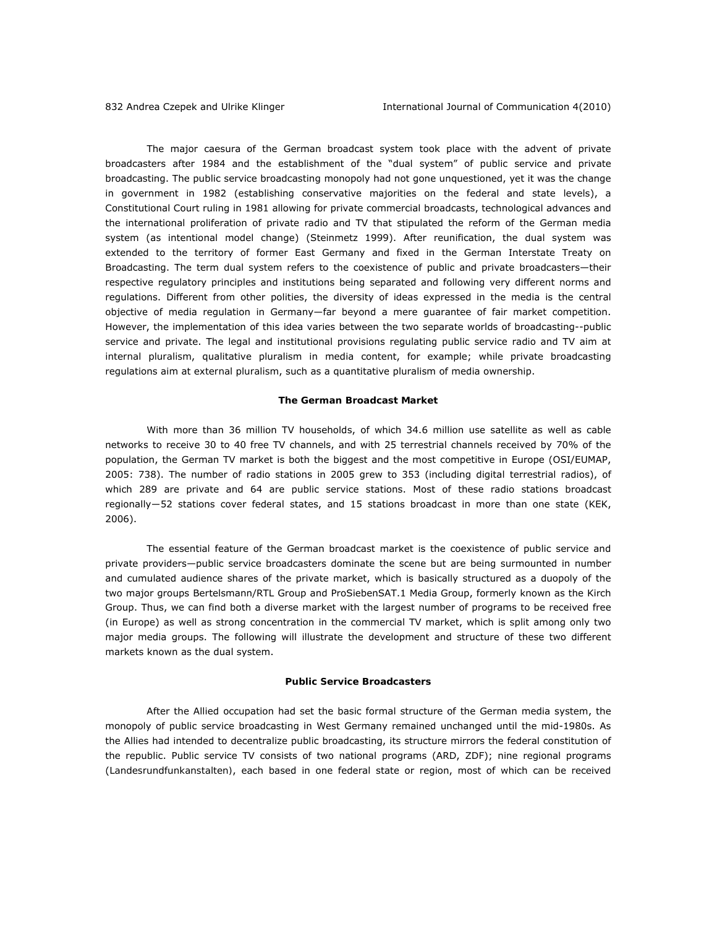The major caesura of the German broadcast system took place with the advent of private broadcasters after 1984 and the establishment of the "dual system" of public service and private broadcasting. The public service broadcasting monopoly had not gone unquestioned, yet it was the change in government in 1982 (establishing conservative majorities on the federal and state levels), a Constitutional Court ruling in 1981 allowing for private commercial broadcasts, technological advances and the international proliferation of private radio and TV that stipulated the reform of the German media system (as intentional model change) (Steinmetz 1999). After reunification, the dual system was extended to the territory of former East Germany and fixed in the German Interstate Treaty on Broadcasting. The term *dual system* refers to the coexistence of public and private broadcasters—their respective regulatory principles and institutions being separated and following very different norms and regulations. Different from other polities, the diversity of ideas expressed in the media is the central objective of media regulation in Germany—far beyond a mere guarantee of fair market competition. However, the implementation of this idea varies between the two separate worlds of broadcasting--public service and private. The legal and institutional provisions regulating public service radio and TV aim at *internal pluralism*, qualitative pluralism in media content, for example; while private broadcasting regulations aim at *external pluralism*, such as a quantitative pluralism of media ownership.

#### **The German Broadcast Market**

With more than 36 million TV households, of which 34.6 million use satellite as well as cable networks to receive 30 to 40 free TV channels, and with 25 terrestrial channels received by 70% of the population, the German TV market is both the biggest and the most competitive in Europe (OSI/EUMAP, 2005: 738). The number of radio stations in 2005 grew to 353 (including digital terrestrial radios), of which 289 are private and 64 are public service stations. Most of these radio stations broadcast regionally―52 stations cover federal states, and 15 stations broadcast in more than one state (KEK, 2006).

The essential feature of the German broadcast market is the coexistence of public service and private providers—public service broadcasters dominate the scene but are being surmounted in number and cumulated audience shares of the private market, which is basically structured as a duopoly of the two major groups Bertelsmann/RTL Group and ProSiebenSAT.1 Media Group, formerly known as the Kirch Group. Thus, we can find both a diverse market with the largest number of programs to be received free (in Europe) as well as strong concentration in the commercial TV market, which is split among only two major media groups. The following will illustrate the development and structure of these two different markets known as the dual system.

#### **Public Service Broadcasters**

After the Allied occupation had set the basic formal structure of the German media system, the monopoly of public service broadcasting in West Germany remained unchanged until the mid-1980s. As the Allies had intended to decentralize public broadcasting, its structure mirrors the federal constitution of the republic. Public service TV consists of two national programs (ARD, ZDF); nine regional programs (*Landesrundfunkanstalten)*, each based in one federal state or region, most of which can be received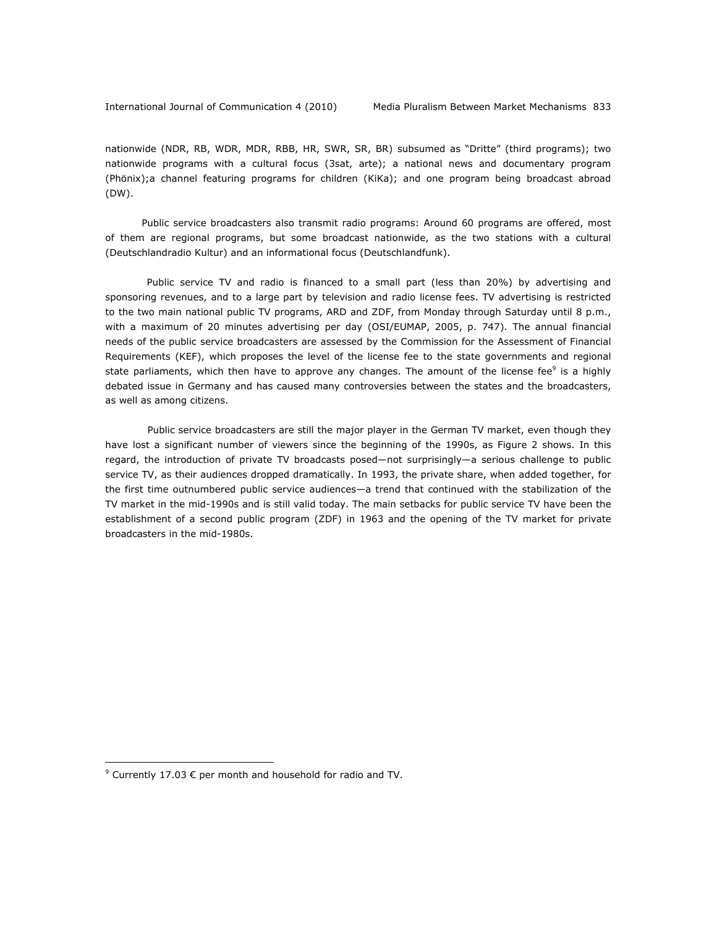nationwide (NDR, RB, WDR, MDR, RBB, HR, SWR, SR, BR) subsumed as "Dritte" (third programs); two nationwide programs with a cultural focus (3sat, arte); a national news and documentary program (Phönix);a channel featuring programs for children (KiKa); and one program being broadcast abroad (DW).

 Public service broadcasters also transmit radio programs: Around 60 programs are offered, most of them are regional programs, but some broadcast nationwide, as the two stations with a cultural (Deutschlandradio Kultur) and an informational focus (Deutschlandfunk).

Public service TV and radio is financed to a small part (less than 20%) by advertising and sponsoring revenues, and to a large part by television and radio license fees. TV advertising is restricted to the two main national public TV programs, ARD and ZDF, from Monday through Saturday until 8 p.m., with a maximum of 20 minutes advertising per day (OSI/EUMAP, 2005, p. 747). The annual financial needs of the public service broadcasters are assessed by the Commission for the Assessment of Financial Requirements (KEF), which proposes the level of the license fee to the state governments and regional state parliaments, which then have to approve any changes. The amount of the license fee $^9$  is a highly debated issue in Germany and has caused many controversies between the states and the broadcasters, as well as among citizens.

Public service broadcasters are still the major player in the German TV market, even though they have lost a significant number of viewers since the beginning of the 1990s, as Figure 2 shows. In this regard, the introduction of private TV broadcasts posed—not surprisingly—a serious challenge to public service TV, as their audiences dropped dramatically. In 1993, the private share, when added together, for the first time outnumbered public service audiences—a trend that continued with the stabilization of the TV market in the mid-1990s and is still valid today. The main setbacks for public service TV have been the establishment of a second public program (ZDF) in 1963 and the opening of the TV market for private broadcasters in the mid-1980s.

<sup>&</sup>lt;sup>9</sup> Currently 17.03 € per month and household for radio and TV.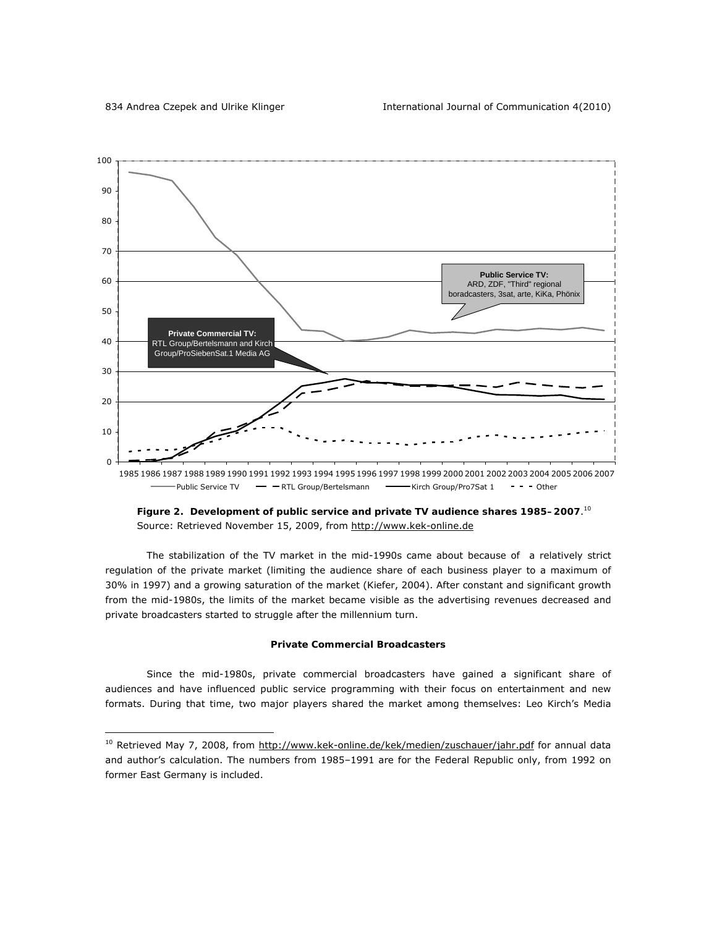

*Figure 2. Development of public service and private TV audience shares 1985–2007*. 10 Source: Retrieved November 15, 2009, from http://www.kek-online.de

The stabilization of the TV market in the mid-1990s came about because of a relatively strict regulation of the private market (limiting the audience share of each business player to a maximum of 30% in 1997) and a growing saturation of the market (Kiefer, 2004). After constant and significant growth from the mid-1980s, the limits of the market became visible as the advertising revenues decreased and private broadcasters started to struggle after the millennium turn.

### **Private Commercial Broadcasters**

Since the mid-1980s, private commercial broadcasters have gained a significant share of audiences and have influenced public service programming with their focus on entertainment and new formats. During that time, two major players shared the market among themselves: Leo Kirch's Media

<sup>&</sup>lt;sup>10</sup> Retrieved May 7, 2008, from http://www.kek-online.de/kek/medien/zuschauer/jahr.pdf for annual data and author's calculation. The numbers from 1985–1991 are for the Federal Republic only, from 1992 on former East Germany is included.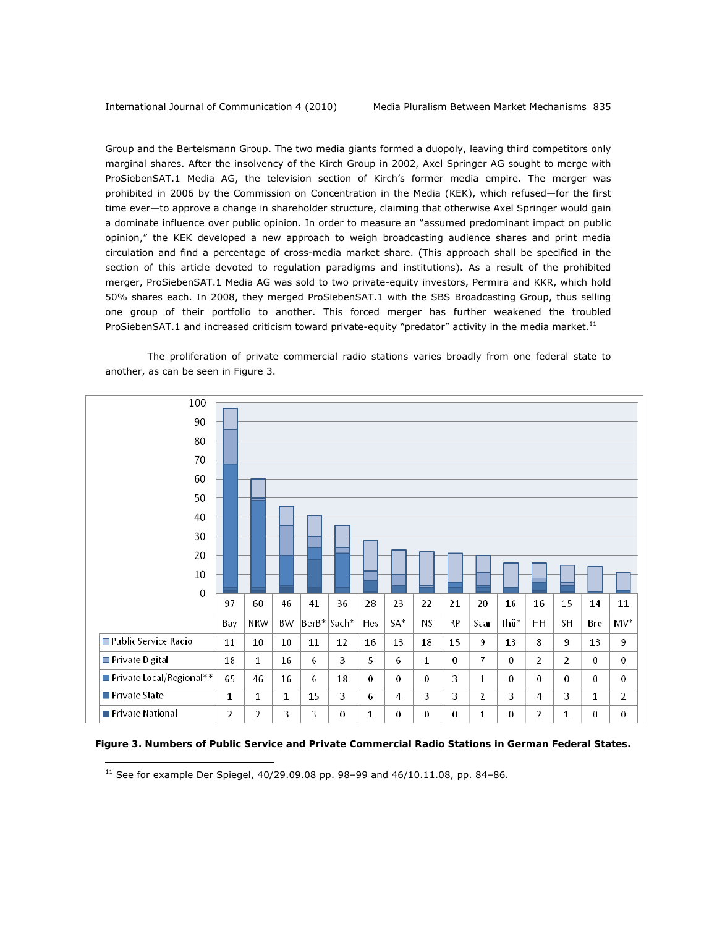Group and the Bertelsmann Group. The two media giants formed a duopoly, leaving third competitors only marginal shares. After the insolvency of the Kirch Group in 2002, Axel Springer AG sought to merge with ProSiebenSAT.1 Media AG, the television section of Kirch's former media empire. The merger was prohibited in 2006 by the Commission on Concentration in the Media (KEK), which refused—for the first time ever—to approve a change in shareholder structure, claiming that otherwise Axel Springer would gain a dominate influence over public opinion. In order to measure an "assumed predominant impact on public opinion," the KEK developed a new approach to weigh broadcasting audience shares and print media circulation and find a percentage of cross-media market share. (This approach shall be specified in the section of this article devoted to regulation paradigms and institutions). As a result of the prohibited merger, ProSiebenSAT.1 Media AG was sold to two private-equity investors, Permira and KKR, which hold 50% shares each. In 2008, they merged ProSiebenSAT.1 with the SBS Broadcasting Group, thus selling one group of their portfolio to another. This forced merger has further weakened the troubled ProSiebenSAT.1 and increased criticism toward private-equity "predator" activity in the media market.<sup>11</sup>



The proliferation of private commercial radio stations varies broadly from one federal state to another, as can be seen in Figure 3.

 *Figure 3. Numbers of Public Service and Private Commercial Radio Stations in German Federal States.* 

 $11$  See for example Der Spiegel, 40/29.09.08 pp. 98-99 and 46/10.11.08, pp. 84-86.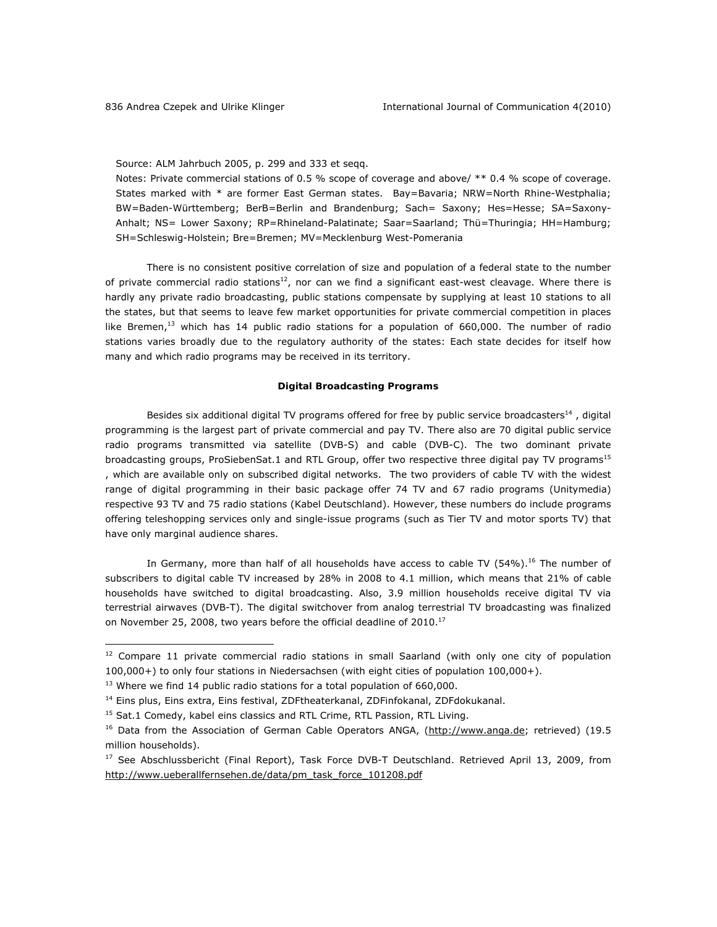Source: ALM Jahrbuch 2005, p. 299 and 333 et seqq.

Notes: Private commercial stations of 0.5 % scope of coverage and above/ \*\* 0.4 % scope of coverage. States marked with \* are former East German states. Bay=Bavaria; NRW=North Rhine-Westphalia; BW=Baden-Württemberg; BerB=Berlin and Brandenburg; Sach= Saxony; Hes=Hesse; SA=Saxony-Anhalt; NS= Lower Saxony; RP=Rhineland-Palatinate; Saar=Saarland; Thü=Thuringia; HH=Hamburg; SH=Schleswig-Holstein; Bre=Bremen; MV=Mecklenburg West-Pomerania

There is no consistent positive correlation of size and population of a federal state to the number of private commercial radio stations<sup>12</sup>, nor can we find a significant east-west cleavage. Where there is hardly any private radio broadcasting, public stations compensate by supplying at least 10 stations to all the states, but that seems to leave few market opportunities for private commercial competition in places like Bremen,<sup>13</sup> which has 14 public radio stations for a population of 660,000. The number of radio stations varies broadly due to the regulatory authority of the states: Each state decides for itself how many and which radio programs may be received in its territory.

# **Digital Broadcasting Programs**

Besides six additional digital TV programs offered for free by public service broadcasters<sup>14</sup>, digital programming is the largest part of private commercial and pay TV. There also are 70 digital public service radio programs transmitted via satellite (DVB-S) and cable (DVB-C). The two dominant private broadcasting groups, ProSiebenSat.1 and RTL Group, offer two respective three digital pay TV programs<sup>15</sup> , which are available only on subscribed digital networks. The two providers of cable TV with the widest range of digital programming in their basic package offer 74 TV and 67 radio programs (Unitymedia) respective 93 TV and 75 radio stations (Kabel Deutschland). However, these numbers do include programs offering teleshopping services only and single-issue programs (such as Tier TV and motor sports TV) that have only marginal audience shares.

In Germany, more than half of all households have access to cable TV  $(54%)$ .<sup>16</sup> The number of subscribers to digital cable TV increased by 28% in 2008 to 4.1 million, which means that 21% of cable households have switched to digital broadcasting. Also, 3.9 million households receive digital TV via terrestrial airwaves (DVB-T). The digital switchover from analog terrestrial TV broadcasting was finalized on November 25, 2008, two years before the official deadline of 2010.<sup>17</sup>

<sup>&</sup>lt;sup>12</sup> Compare 11 private commercial radio stations in small Saarland (with only one city of population 100,000+) to only four stations in Niedersachsen (with eight cities of population 100,000+).

 $13$  Where we find 14 public radio stations for a total population of 660,000.

<sup>&</sup>lt;sup>14</sup> Eins plus, Eins extra, Eins festival, ZDFtheaterkanal, ZDFinfokanal, ZDFdokukanal.

<sup>&</sup>lt;sup>15</sup> Sat.1 Comedy, kabel eins classics and RTL Crime, RTL Passion, RTL Living.

<sup>&</sup>lt;sup>16</sup> Data from the Association of German Cable Operators ANGA, (http://www.anga.de; retrieved) (19.5 million households).

<sup>&</sup>lt;sup>17</sup> See Abschlussbericht (Final Report), Task Force DVB-T Deutschland. Retrieved April 13, 2009, from http://www.ueberallfernsehen.de/data/pm\_task\_force\_101208.pdf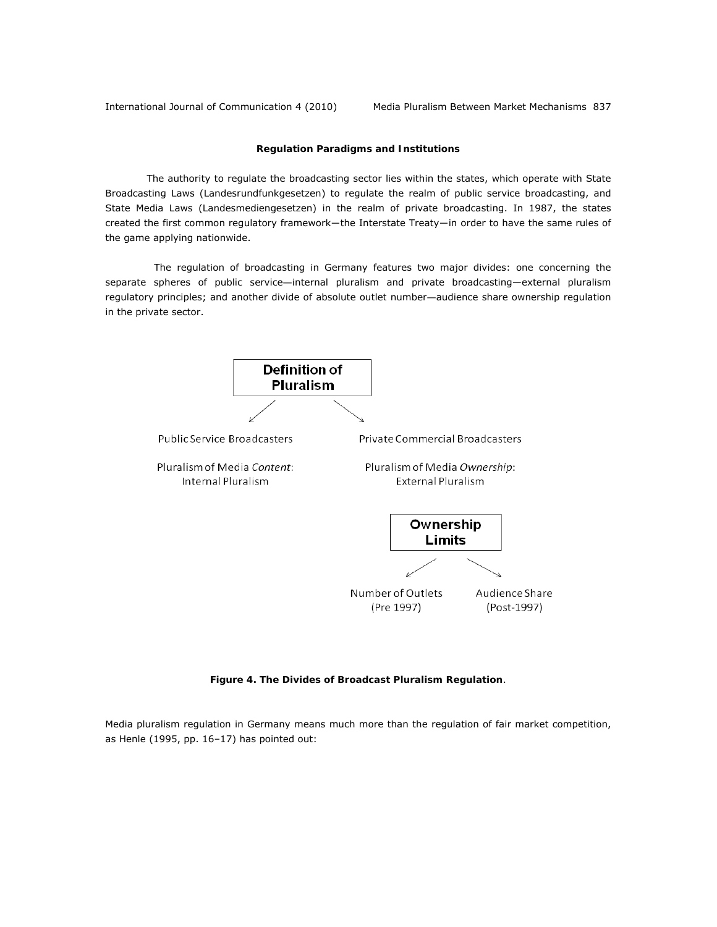International Journal of Communication 4 (2010) Media Pluralism Between Market Mechanisms 837

### **Regulation Paradigms and Institutions**

The authority to regulate the broadcasting sector lies within the states, which operate with State Broadcasting Laws (*Landesrundfunkgesetzen*) to regulate the realm of public service broadcasting, and State Media Laws (*Landesmediengesetzen*) in the realm of private broadcasting. In 1987, the states created the first common regulatory framework―the Interstate Treaty―in order to have the same rules of the game applying nationwide.

 The regulation of broadcasting in Germany features two major divides: one concerning the separate spheres of *public service—*internal pluralism and private broadcasting—external pluralism regulatory principles; and another divide of *absolute outlet number—*audience share ownership regulation in the private sector.



*Figure 4. The Divides of Broadcast Pluralism Regulation*.

Media pluralism regulation in Germany means much more than the regulation of fair market competition, as Henle (1995, pp. 16–17) has pointed out: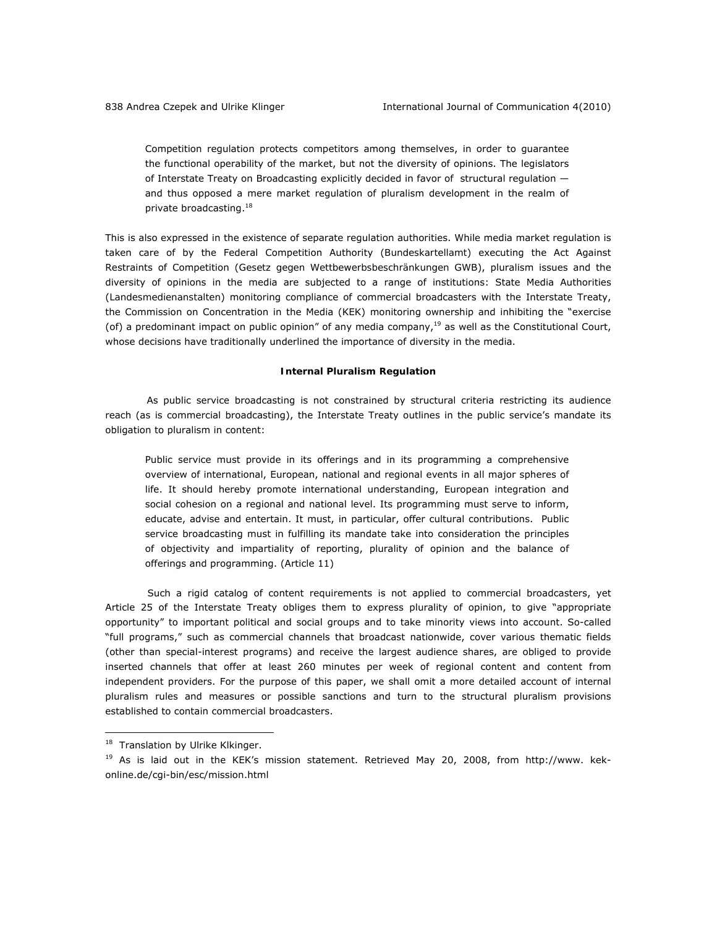Competition regulation protects competitors among themselves, in order to guarantee the functional operability of the market, but not the diversity of opinions. The legislators of Interstate Treaty on Broadcasting explicitly decided in favor of structural regulation and thus opposed a mere market regulation of pluralism development in the realm of private broadcasting.18

This is also expressed in the existence of separate regulation authorities. While media market regulation is taken care of by the Federal Competition Authority (*Bundeskartellamt*) executing the Act Against Restraints of Competition (*Gesetz gegen Wettbewerbsbeschränkungen* GWB), pluralism issues and the diversity of opinions in the media are subjected to a range of institutions: State Media Authorities (*Landesmedienanstalten*) monitoring compliance of commercial broadcasters with the Interstate Treaty, the Commission on Concentration in the Media (KEK) monitoring ownership and inhibiting the "exercise (of) a predominant impact on public opinion" of any media company, $19$  as well as the Constitutional Court, whose decisions have traditionally underlined the importance of diversity in the media.

#### **Internal Pluralism Regulation**

As public service broadcasting is not constrained by structural criteria restricting its audience reach (as is commercial broadcasting), the Interstate Treaty outlines in the public service's mandate its obligation to pluralism in content:

Public service must provide in its offerings and in its programming a comprehensive overview of international, European, national and regional events in all major spheres of life. It should hereby promote international understanding, European integration and social cohesion on a regional and national level. Its programming must serve to inform, educate, advise and entertain. It must, in particular, offer cultural contributions. Public service broadcasting must in fulfilling its mandate take into consideration the principles of objectivity and impartiality of reporting, plurality of opinion and the balance of offerings and programming. (Article 11)

Such a rigid catalog of content requirements is not applied to commercial broadcasters, yet Article 25 of the Interstate Treaty obliges them to express plurality of opinion, to give "appropriate opportunity" to important political and social groups and to take minority views into account. So-called "full programs," such as commercial channels that broadcast nationwide, cover various thematic fields (other than special-interest programs) and receive the largest audience shares, are obliged to provide inserted channels that offer at least 260 minutes per week of regional content and content from independent providers. For the purpose of this paper, we shall omit a more detailed account of internal pluralism rules and measures or possible sanctions and turn to the structural pluralism provisions established to contain commercial broadcasters.

<sup>&</sup>lt;sup>18</sup> Translation by Ulrike Klkinger.

<sup>&</sup>lt;sup>19</sup> As is laid out in the KEK's mission statement. Retrieved May 20, 2008, from http://www. kekonline.de/cgi-bin/esc/mission.html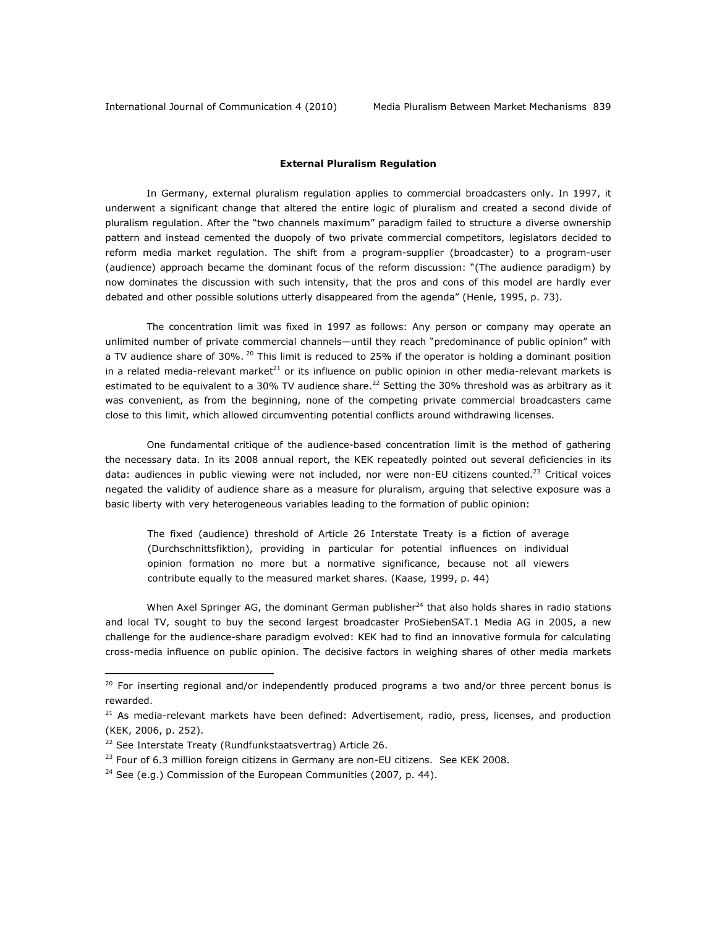#### **External Pluralism Regulation**

In Germany, external pluralism regulation applies to commercial broadcasters only. In 1997, it underwent a significant change that altered the entire logic of pluralism and created a second divide of pluralism regulation. After the "two channels maximum" paradigm failed to structure a diverse ownership pattern and instead cemented the duopoly of two private commercial competitors, legislators decided to reform media market regulation. The shift from a program-supplier (broadcaster) to a program-user (audience) approach became the dominant focus of the reform discussion: "(The audience paradigm) by now dominates the discussion with such intensity, that the pros and cons of this model are hardly ever debated and other possible solutions utterly disappeared from the agenda" (Henle, 1995, p. 73).

The concentration limit was fixed in 1997 as follows: Any person or company may operate an unlimited number of private commercial channels—until they reach "predominance of public opinion" with a TV audience share of 30%.  $^{20}$  This limit is reduced to 25% if the operator is holding a dominant position in a related media-relevant market<sup>21</sup> or its influence on public opinion in other media-relevant markets is estimated to be equivalent to a 30% TV audience share.<sup>22</sup> Setting the 30% threshold was as arbitrary as it was convenient, as from the beginning, none of the competing private commercial broadcasters came close to this limit, which allowed circumventing potential conflicts around withdrawing licenses.

One fundamental critique of the audience-based concentration limit is the method of gathering the necessary data. In its 2008 annual report, the KEK repeatedly pointed out several deficiencies in its data: audiences in public viewing were not included, nor were non-EU citizens counted.<sup>23</sup> Critical voices negated the validity of audience share as a measure for pluralism, arguing that selective exposure was a basic liberty with very heterogeneous variables leading to the formation of public opinion:

The fixed (audience) threshold of Article 26 Interstate Treaty is a fiction of average (*Durchschnittsfiktion*), providing in particular for potential influences on individual opinion formation no more but a normative significance, because not all viewers contribute equally to the measured market shares. (Kaase, 1999, p. 44)

When Axel Springer AG, the dominant German publisher $^{24}$  that also holds shares in radio stations and local TV, sought to buy the second largest broadcaster ProSiebenSAT.1 Media AG in 2005, a new challenge for the audience-share paradigm evolved: KEK had to find an innovative formula for calculating cross-media influence on public opinion. The decisive factors in weighing shares of other media markets

 $20$  For inserting regional and/or independently produced programs a two and/or three percent bonus is rewarded.

 $21$  As media-relevant markets have been defined: Advertisement, radio, press, licenses, and production (KEK, 2006, p. 252).

<sup>22</sup> See Interstate Treaty (*Rundfunkstaatsvertrag*) Article 26.

 $23$  Four of 6.3 million foreign citizens in Germany are non-EU citizens. See KEK 2008.

<sup>&</sup>lt;sup>24</sup> See (e.g.) Commission of the European Communities (2007, p. 44).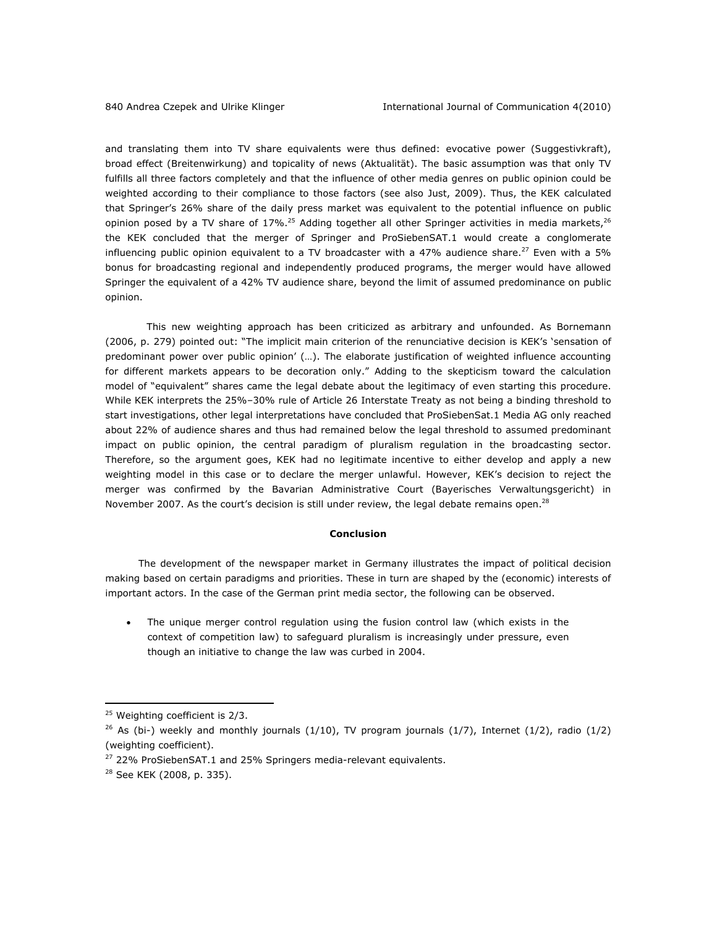and translating them into TV share equivalents were thus defined: evocative power (*Suggestivkraft*), broad effect (*Breitenwirkung*) and topicality of news (*Aktualität*). The basic assumption was that only TV fulfills all three factors completely and that the influence of other media genres on public opinion could be weighted according to their compliance to those factors (see also Just, 2009). Thus, the KEK calculated that Springer's 26% share of the daily press market was equivalent to the potential influence on public opinion posed by a TV share of  $17\%$ .<sup>25</sup> Adding together all other Springer activities in media markets,<sup>26</sup> the KEK concluded that the merger of Springer and ProSiebenSAT.1 would create a conglomerate influencing public opinion equivalent to a TV broadcaster with a 47% audience share.<sup>27</sup> Even with a 5% bonus for broadcasting regional and independently produced programs, the merger would have allowed Springer the equivalent of a 42% TV audience share, beyond the limit of assumed predominance on public opinion.

This new weighting approach has been criticized as arbitrary and unfounded. As Bornemann (2006, p. 279) pointed out: "The implicit main criterion of the renunciative decision is KEK's 'sensation of predominant power over public opinion' (…). The elaborate justification of weighted influence accounting for different markets appears to be decoration only." Adding to the skepticism toward the calculation model of "equivalent" shares came the legal debate about the legitimacy of even starting this procedure. While KEK interprets the 25%–30% rule of Article 26 Interstate Treaty as not being a binding threshold to start investigations, other legal interpretations have concluded that ProSiebenSat.1 Media AG only reached about 22% of audience shares and thus had remained below the legal threshold to *assumed predominant impact* on public opinion, the central paradigm of pluralism regulation in the broadcasting sector. Therefore, so the argument goes, KEK had no legitimate incentive to either develop and apply a new weighting model in this case or to declare the merger unlawful. However, KEK's decision to reject the merger was confirmed by the Bavarian Administrative Court (*Bayerisches Verwaltungsgericht*) in November 2007. As the court's decision is still under review, the legal debate remains open.<sup>28</sup>

#### **Conclusion**

The development of the newspaper market in Germany illustrates the impact of political decision making based on certain paradigms and priorities. These in turn are shaped by the (economic) interests of important actors. In the case of the German print media sector, the following can be observed.

• The unique merger control regulation using the fusion control law (which exists in the context of competition law) to safeguard pluralism is increasingly under pressure, even though an initiative to change the law was curbed in 2004.

<sup>&</sup>lt;sup>25</sup> Weighting coefficient is 2/3.

<sup>&</sup>lt;sup>26</sup> As (bi-) weekly and monthly journals (1/10), TV program journals (1/7), Internet (1/2), radio (1/2) (weighting coefficient).

 $27$  22% ProSiebenSAT.1 and 25% Springers media-relevant equivalents.

<sup>&</sup>lt;sup>28</sup> See KEK (2008, p. 335).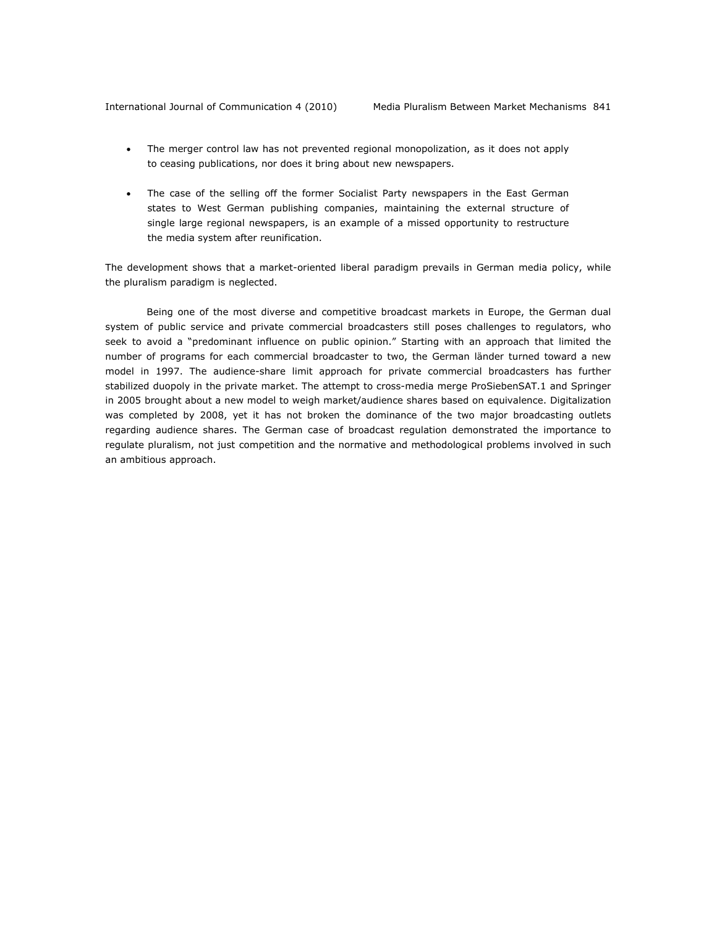- The merger control law has not prevented regional monopolization, as it does not apply to ceasing publications, nor does it bring about new newspapers.
- The case of the selling off the former Socialist Party newspapers in the East German states to West German publishing companies, maintaining the external structure of single large regional newspapers, is an example of a missed opportunity to restructure the media system after reunification.

The development shows that a market-oriented liberal paradigm prevails in German media policy, while the pluralism paradigm is neglected.

Being one of the most diverse and competitive broadcast markets in Europe, the German dual system of public service and private commercial broadcasters still poses challenges to regulators, who seek to avoid a "predominant influence on public opinion." Starting with an approach that limited the number of programs for each commercial broadcaster to two, the German *länder* turned toward a new model in 1997. The audience-share limit approach for private commercial broadcasters has further stabilized duopoly in the private market. The attempt to cross-media merge ProSiebenSAT.1 and Springer in 2005 brought about a new model to weigh market/audience shares based on equivalence. Digitalization was completed by 2008, yet it has not broken the dominance of the two major broadcasting outlets regarding audience shares. The German case of broadcast regulation demonstrated the importance to regulate pluralism, not just competition and the normative and methodological problems involved in such an ambitious approach.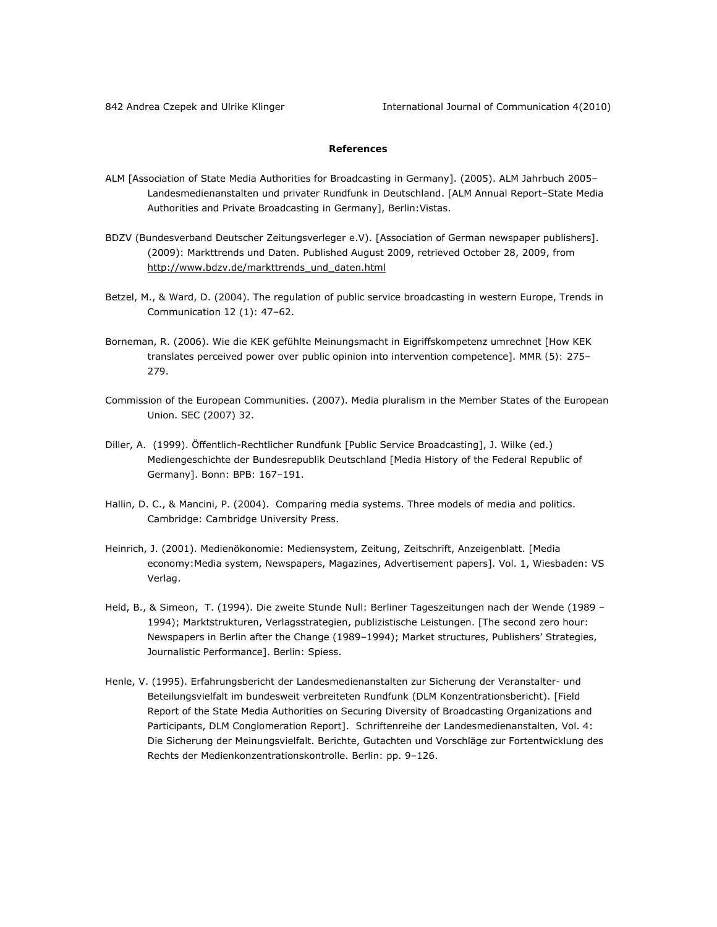# **References**

- ALM [Association of State Media Authorities for Broadcasting in Germany]. (2005). ALM Jahrbuch 2005– Landesmedienanstalten und privater Rundfunk in Deutschland. [ALM Annual Report–State Media Authorities and Private Broadcasting in Germany], Berlin:Vistas.
- BDZV (Bundesverband Deutscher Zeitungsverleger e.V). [Association of German newspaper publishers]. (2009): Markttrends und Daten. Published August 2009, retrieved October 28, 2009, from http://www.bdzv.de/markttrends\_und\_daten.html
- Betzel, M., & Ward, D. (2004). The regulation of public service broadcasting in western Europe, *Trends in* Communication *12* (1): 47–62.
- Borneman, R. (2006). Wie die KEK gefühlte Meinungsmacht in Eigriffskompetenz umrechnet [How KEK translates perceived power over public opinion into intervention competence]. MMR *(5):* 275– 279.
- Commission of the European Communities. (2007). Media pluralism in the Member States of the European Union. SEC (2007) *32*.
- Diller, A. (1999). Öffentlich-Rechtlicher Rundfunk [Public Service Broadcasting], J. Wilke (ed.) Mediengeschichte der Bundesrepublik Deutschland [Media History of the Federal Republic of Germany]. Bonn: BPB: 167–191.
- Hallin, D. C., & Mancini, P. (2004). Comparing media systems. Three models of media and politics. Cambridge: Cambridge University Press.
- Heinrich, J. (2001). Medienökonomie: Mediensystem, Zeitung, Zeitschrift, Anzeigenblatt. [Media economy:Media system, Newspapers, Magazines, Advertisement papers]. Vol. 1, Wiesbaden: VS Verlag.
- Held, B., & Simeon, T. (1994). Die zweite Stunde Null: Berliner Tageszeitungen nach der Wende (1989 1994); Marktstrukturen, Verlagsstrategien, publizistische Leistungen. [The second zero hour: Newspapers in Berlin after the Change (1989–1994); Market structures, Publishers' Strategies, Journalistic Performance]. Berlin: Spiess.
- Henle, V. (1995). Erfahrungsbericht der Landesmedienanstalten zur Sicherung der Veranstalter- und Beteilungsvielfalt im bundesweit verbreiteten Rundfunk (DLM Konzentrationsbericht). [Field Report of the State Media Authorities on Securing Diversity of Broadcasting Organizations and Participants, DLM Conglomeration Report]. *Schriftenreihe der Landesmedienanstalten,* Vol. 4: Die Sicherung der Meinungsvielfalt. Berichte, Gutachten und Vorschläge zur Fortentwicklung des Rechts der Medienkonzentrationskontrolle. Berlin: pp. 9–126.